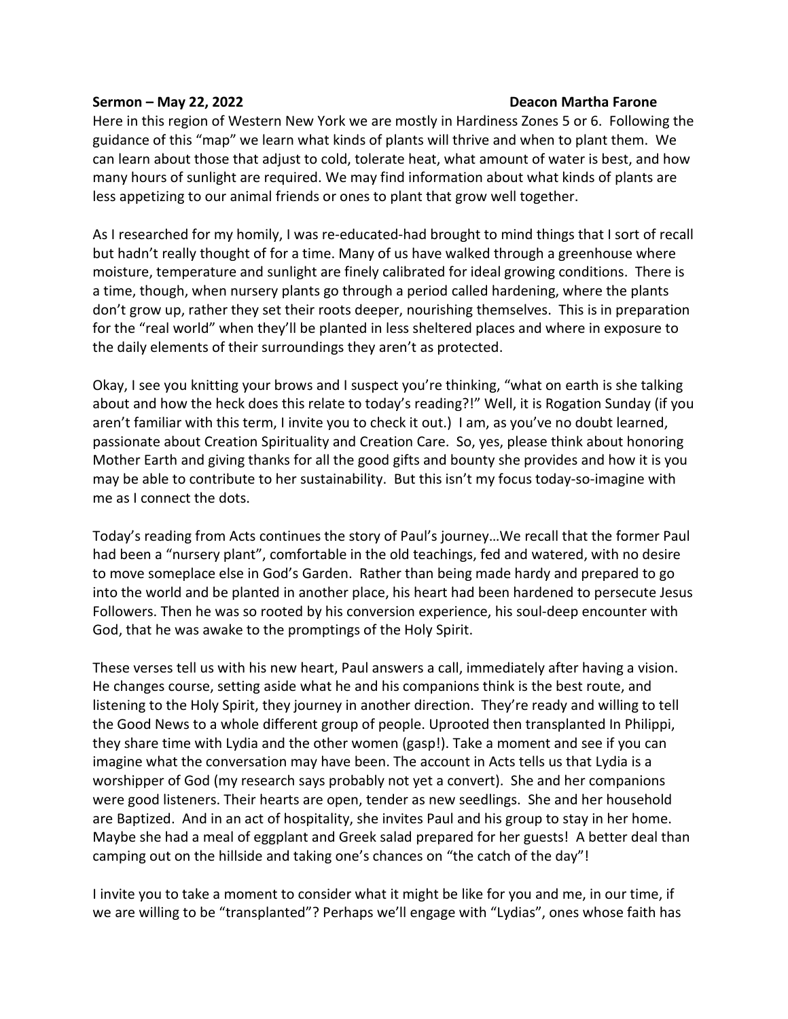## **Sermon – May 22, 2022 Deacon Martha Farone**

Here in this region of Western New York we are mostly in Hardiness Zones 5 or 6. Following the guidance of this "map" we learn what kinds of plants will thrive and when to plant them. We can learn about those that adjust to cold, tolerate heat, what amount of water is best, and how many hours of sunlight are required. We may find information about what kinds of plants are less appetizing to our animal friends or ones to plant that grow well together.

As I researched for my homily, I was re-educated-had brought to mind things that I sort of recall but hadn't really thought of for a time. Many of us have walked through a greenhouse where moisture, temperature and sunlight are finely calibrated for ideal growing conditions. There is a time, though, when nursery plants go through a period called hardening, where the plants don't grow up, rather they set their roots deeper, nourishing themselves. This is in preparation for the "real world" when they'll be planted in less sheltered places and where in exposure to the daily elements of their surroundings they aren't as protected.

Okay, I see you knitting your brows and I suspect you're thinking, "what on earth is she talking about and how the heck does this relate to today's reading?!" Well, it is Rogation Sunday (if you aren't familiar with this term, I invite you to check it out.) I am, as you've no doubt learned, passionate about Creation Spirituality and Creation Care. So, yes, please think about honoring Mother Earth and giving thanks for all the good gifts and bounty she provides and how it is you may be able to contribute to her sustainability. But this isn't my focus today-so-imagine with me as I connect the dots.

Today's reading from Acts continues the story of Paul's journey…We recall that the former Paul had been a "nursery plant", comfortable in the old teachings, fed and watered, with no desire to move someplace else in God's Garden. Rather than being made hardy and prepared to go into the world and be planted in another place, his heart had been hardened to persecute Jesus Followers. Then he was so rooted by his conversion experience, his soul-deep encounter with God, that he was awake to the promptings of the Holy Spirit.

These verses tell us with his new heart, Paul answers a call, immediately after having a vision. He changes course, setting aside what he and his companions think is the best route, and listening to the Holy Spirit, they journey in another direction. They're ready and willing to tell the Good News to a whole different group of people. Uprooted then transplanted In Philippi, they share time with Lydia and the other women (gasp!). Take a moment and see if you can imagine what the conversation may have been. The account in Acts tells us that Lydia is a worshipper of God (my research says probably not yet a convert). She and her companions were good listeners. Their hearts are open, tender as new seedlings. She and her household are Baptized. And in an act of hospitality, she invites Paul and his group to stay in her home. Maybe she had a meal of eggplant and Greek salad prepared for her guests! A better deal than camping out on the hillside and taking one's chances on "the catch of the day"!

I invite you to take a moment to consider what it might be like for you and me, in our time, if we are willing to be "transplanted"? Perhaps we'll engage with "Lydias", ones whose faith has